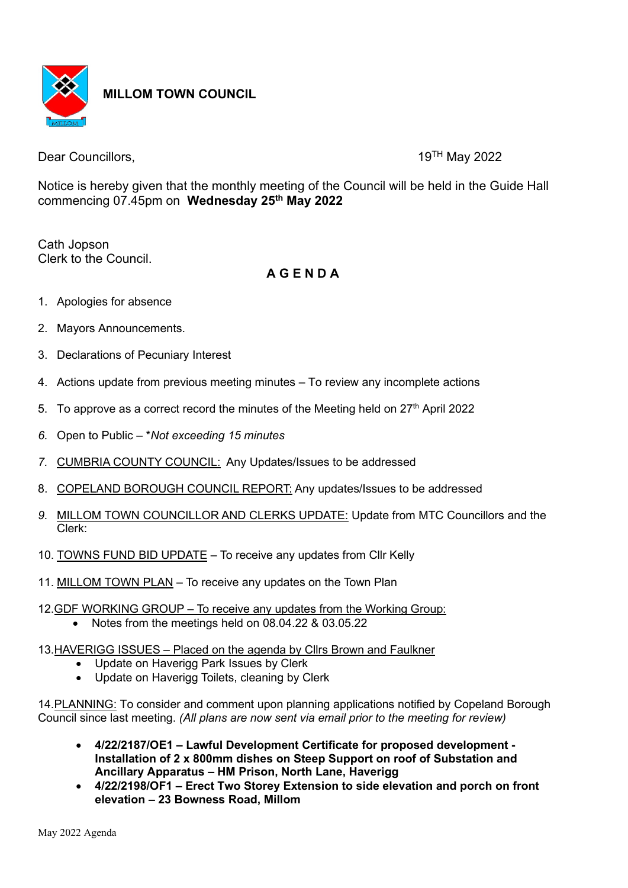

**MILLOM TOWN COUNCIL**

Dear Councillors, 19TH May 2022

Notice is hereby given that the monthly meeting of the Council will be held in the Guide Hall commencing 07.45pm on **Wednesday 25th May 2022**

Cath Jopson Clerk to the Council.

## **A G E N D A**

- 1. Apologies for absence
- 2. Mayors Announcements.
- 3. Declarations of Pecuniary Interest
- 4. Actions update from previous meeting minutes To review any incomplete actions
- 5. To approve as a correct record the minutes of the Meeting held on  $27<sup>th</sup>$  April 2022
- *6.* Open to Public \**Not exceeding 15 minutes*
- *7.* CUMBRIA COUNTY COUNCIL: Any Updates/Issues to be addressed
- 8. COPELAND BOROUGH COUNCIL REPORT: Any updates/Issues to be addressed
- *9.* MILLOM TOWN COUNCILLOR AND CLERKS UPDATE: Update from MTC Councillors and the Clerk:
- 10. TOWNS FUND BID UPDATE To receive any updates from Cllr Kelly
- 11. MILLOM TOWN PLAN To receive any updates on the Town Plan
- 12.GDF WORKING GROUP To receive any updates from the Working Group:
	- Notes from the meetings held on 08.04.22 & 03.05.22
- 13.HAVERIGG ISSUES Placed on the agenda by Cllrs Brown and Faulkner
	- Update on Haverigg Park Issues by Clerk
	- Update on Haverigg Toilets, cleaning by Clerk

14.PLANNING: To consider and comment upon planning applications notified by Copeland Borough Council since last meeting. *(All plans are now sent via email prior to the meeting for review)* 

- **4/22/2187/OE1 – Lawful Development Certificate for proposed development - Installation of 2 x 800mm dishes on Steep Support on roof of Substation and Ancillary Apparatus – HM Prison, North Lane, Haverigg**
- **4/22/2198/OF1 – Erect Two Storey Extension to side elevation and porch on front elevation – 23 Bowness Road, Millom**